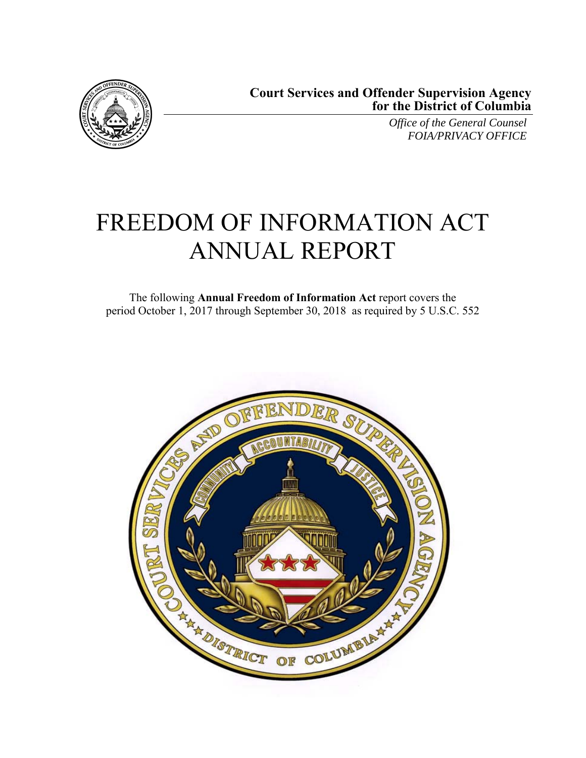

*Office of the General Counsel FOIA/PRIVACY OFFICE* 

# FREEDOM OF INFORMATION ACT ANNUAL REPORT

The following **Annual Freedom of Information Act** report covers the period October 1, 2017 through September 30, 2018 as required by 5 U.S.C. 552

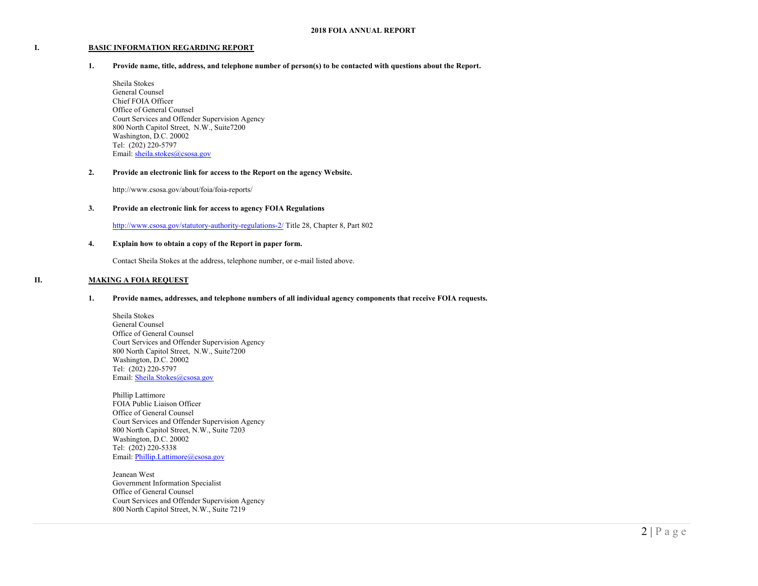#### **BASIC INFORMATION REGARDING REPORT**

#### **1. Provide name, title, address, and telephone number of person(s) to be contacted with questions about the Report.**

Sheila Stokes General Counsel Chief FOIA Officer Office of General Counsel Court Services and Offender Supervision Agency 800 North Capitol Street, N.W., Suite7200 Washington, D.C. 20002 Tel: (202) 220-5797 Email: sheila.stokes@csosa.gov

#### **2. Provide an electronic link for access to the Report on the agency Website.**

http://www.csosa.gov/about/foia/foia-reports/

#### **3. Provide an electronic link for access to agency FOIA Regulations**

http://www.csosa.gov/statutory-authority-regulations-2/ Title 28, Chapter 8, Part 802

#### **4. Explain how to obtain a copy of the Report in paper form.**

Contact Sheila Stokes at the address, telephone number, or e-mail listed above.

#### **II.MAKING A FOIA REQUEST**

**I.**

#### **1. Provide names, addresses, and telephone numbers of all individual agency components that receive FOIA requests.**

Sheila Stokes General Counsel Office of General Counsel Court Services and Offender Supervision Agency 800 North Capitol Street, N.W., Suite7200 Washington, D.C. 20002 Tel: (202) 220-5797 Email: Sheila.Stokes@csosa.gov

Phillip Lattimore FOIA Public Liaison Officer Office of General Counsel Court Services and Offender Supervision Agency 800 North Capitol Street, N.W., Suite 7203 Washington, D.C. 20002 Tel: (202) 220-5338 Email: Phillip.Lattimore@csosa.gov

Jeanean West Government Information Specialist Office of General Counsel Court Services and Offender Supervision Agency 800 North Capitol Street, N.W., Suite 7219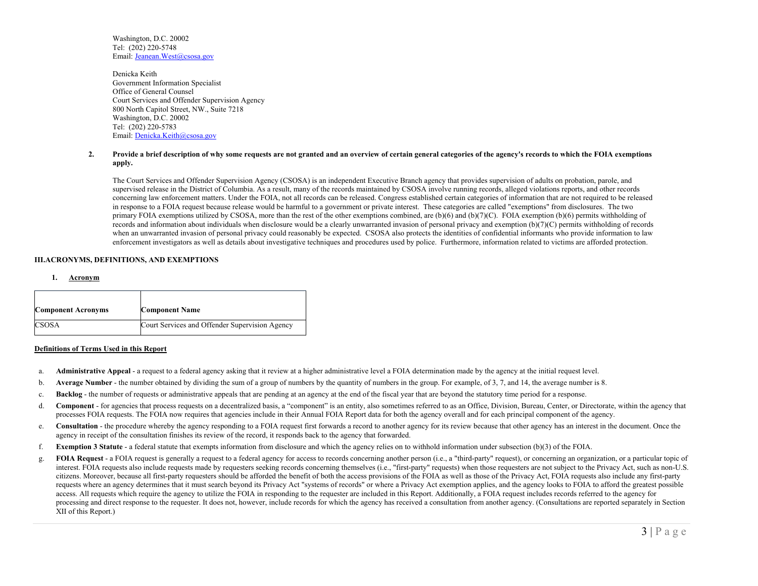Washington, D.C. 20002 Tel: (202) 220-5748 Email: Jeanean.West@csosa.gov

Denicka Keith Government Information Specialist Office of General Counsel Court Services and Offender Supervision Agency 800 North Capitol Street, NW., Suite 7218 Washington, D.C. 20002 Tel: (202) 220-5783 Email: Denicka.Keith@csosa.gov

#### **2. Provide a brief description of why some requests are not granted and an overview of certain general categories of the agency's records to which the FOIA exemptions apply.**

The Court Services and Offender Supervision Agency (CSOSA) is an independent Executive Branch agency that provides supervision of adults on probation, parole, and supervised release in the District of Columbia. As a result, many of the records maintained by CSOSA involve running records, alleged violations reports, and other records concerning law enforcement matters. Under the FOIA, not all records can be released. Congress established certain categories of information that are not required to be released in response to a FOIA request because release would be harmful to a government or private interest. These categories are called "exemptions" from disclosures. The two primary FOIA exemptions utilized by CSOSA, more than the rest of the other exemptions combined, are (b)(6) and (b)(7)(C). FOIA exemption (b)(6) permits withholding of records and information about individuals when disclosure would be a clearly unwarranted invasion of personal privacy and exemption  $(b)/7$ (C) permits withholding of records when an unwarranted invasion of personal privacy could reasonably be expected. CSOSA also protects the identities of confidential informants who provide information to law enforcement investigators as well as details about investigative techniques and procedures used by police. Furthermore, information related to victims are afforded protection.

#### **III.ACRONYMS, DEFINITIONS, AND EXEMPTIONS**

#### **1.Acronym**

| <b>Component Acronyms</b> | <b>Component Name</b>                          |
|---------------------------|------------------------------------------------|
| <b>CSOSA</b>              | Court Services and Offender Supervision Agency |

#### **Definitions of Terms Used in this Report**

- a.**Administrative Appeal** - a request to a federal agency asking that it review at a higher administrative level a FOIA determination made by the agency at the initial request level.
- b.Average Number - the number obtained by dividing the sum of a group of numbers by the quantity of numbers in the group. For example, of 3, 7, and 14, the average number is 8.
- c.**Backlog** - the number of requests or administrative appeals that are pending at an agency at the end of the fiscal year that are beyond the statutory time period for a response.
- d. **Component** - for agencies that process requests on a decentralized basis, a "component" is an entity, also sometimes referred to as an Office, Division, Bureau, Center, or Directorate, within the agency that processes FOIA requests. The FOIA now requires that agencies include in their Annual FOIA Report data for both the agency overall and for each principal component of the agency.
- e. **Consultation** - the procedure whereby the agency responding to a FOIA request first forwards a record to another agency for its review because that other agency has an interest in the document. Once the agency in receipt of the consultation finishes its review of the record, it responds back to the agency that forwarded.
- f.**Exemption 3 Statute** - a federal statute that exempts information from disclosure and which the agency relies on to withhold information under subsection (b)(3) of the FOIA.
- g. **FOIA Request** a FOIA request is generally a request to a federal agency for access to records concerning another person (i.e., a "third-party" request), or concerning an organization, or a particular topic of interest. FOIA requests also include requests made by requesters seeking records concerning themselves (i.e., "first-party" requests) when those requesters are not subject to the Privacy Act, such as non-U.S. citizens. Moreover, because all first-party requesters should be afforded the benefit of both the access provisions of the FOIA as well as those of the Privacy Act, FOIA requests also include any first-party requests where an agency determines that it must search beyond its Privacy Act "systems of records" or where a Privacy Act exemption applies, and the agency looks to FOIA to afford the greatest possible access. All requests which require the agency to utilize the FOIA in responding to the requester are included in this Report. Additionally, a FOIA request includes records referred to the agency for processing and direct response to the requester. It does not, however, include records for which the agency has received a consultation from another agency. (Consultations are reported separately in Section XII of this Report.)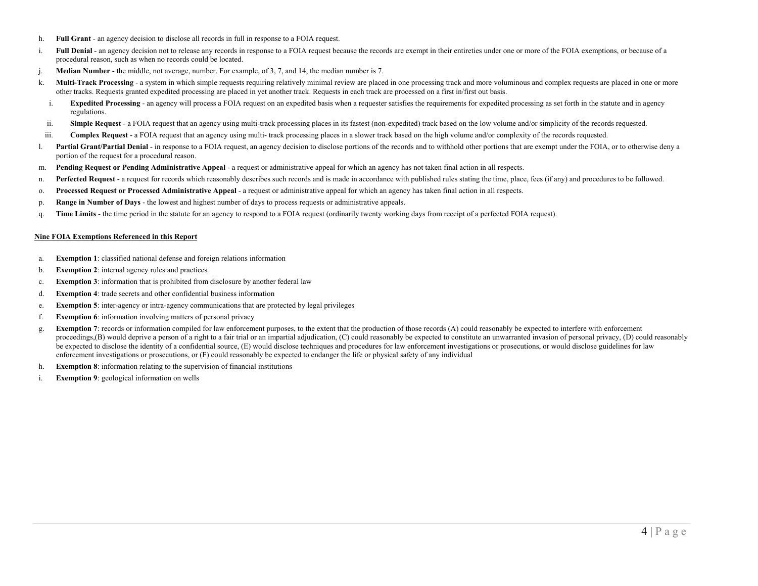- h.**Full Grant** - an agency decision to disclose all records in full in response to a FOIA request.
- i.Full Denial - an agency decision not to release any records in response to a FOIA request because the records are exempt in their entireties under one or more of the FOIA exemptions, or because of a procedural reason, such as when no records could be located.
- j. **Median Number** the middle, not average, number. For example, of 3, 7, and 14, the median number is 7.
- k.Multi-Track Processing - a system in which simple requests requiring relatively minimal review are placed in one processing track and more voluminous and complex requests are placed in one or more other tracks. Requests granted expedited processing are placed in yet another track. Requests in each track are processed on a first in/first out basis.
	- i.**Expedited Processing** - an agency will process a FOIA request on an expedited basis when a requester satisfies the requirements for expedited processing as set forth in the statute and in agency regulations.
	- ii.Simple Request - a FOIA request that an agency using multi-track processing places in its fastest (non-expedited) track based on the low volume and/or simplicity of the records requested.
- iii.**Complex Request** - a FOIA request that an agency using multi- track processing places in a slower track based on the high volume and/or complexity of the records requested.
- l.Partial Grant/Partial Denial - in response to a FOIA request, an agency decision to disclose portions of the records and to withhold other portions that are exempt under the FOIA, or to otherwise deny a portion of the request for a procedural reason.
- m.Pending Request or Pending Administrative Appeal - a request or administrative appeal for which an agency has not taken final action in all respects.
- n.Perfected Request - a request for records which reasonably describes such records and is made in accordance with published rules stating the time, place, fees (if any) and procedures to be followed.
- o.**Processed Request or Processed Administrative Appeal** - a request or administrative appeal for which an agency has taken final action in all respects.
- p. **Range in Number of Days** the lowest and highest number of days to process requests or administrative appeals.
- q. **Time Limits** the time period in the statute for an agency to respond to a FOIA request (ordinarily twenty working days from receipt of a perfected FOIA request).

#### **Nine FOIA Exemptions Referenced in this Report**

- a.**Exemption 1**: classified national defense and foreign relations information
- b.**Exemption 2**: internal agency rules and practices
- c.**Exemption 3**: information that is prohibited from disclosure by another federal law
- d.**Exemption 4**: trade secrets and other confidential business information
- e.**Exemption 5**: inter-agency or intra-agency communications that are protected by legal privileges
- f.**Exemption 6**: information involving matters of personal privacy
- g. **Exemption 7**: records or information compiled for law enforcement purposes, to the extent that the production of those records (A) could reasonably be expected to interfere with enforcement proceedings,(B) would deprive a person of a right to a fair trial or an impartial adjudication, (C) could reasonably be expected to constitute an unwarranted invasion of personal privacy, (D) could reasonably be expected to disclose the identity of a confidential source, (E) would disclose techniques and procedures for law enforcement investigations or prosecutions, or would disclose guidelines for law enforcement investigations or prosecutions, or (F) could reasonably be expected to endanger the life or physical safety of any individual
- h.**Exemption 8**: information relating to the supervision of financial institutions
- i.**Exemption 9**: geological information on wells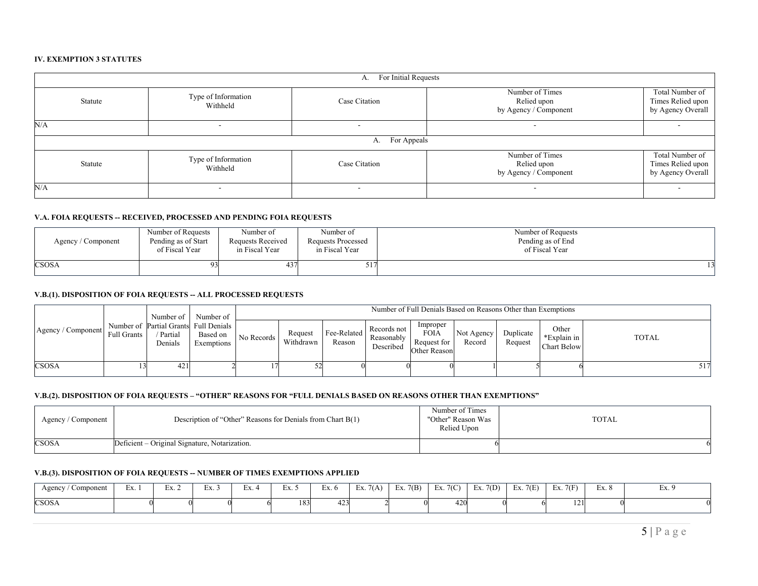#### **IV. EXEMPTION 3 STATUTES**

|         |                                 | For Initial Requests<br>А. |                                                         |                                                           |
|---------|---------------------------------|----------------------------|---------------------------------------------------------|-----------------------------------------------------------|
| Statute | Type of Information<br>Withheld | Case Citation              | Number of Times<br>Relied upon<br>by Agency / Component | Total Number of<br>Times Relied upon<br>by Agency Overall |
| N/A     | $\overline{\phantom{a}}$        | -                          |                                                         | . .                                                       |
|         |                                 | A. For Appeals             |                                                         |                                                           |
| Statute | Type of Information<br>Withheld | Case Citation              | Number of Times<br>Relied upon<br>by Agency / Component | Total Number of<br>Times Relied upon<br>by Agency Overall |
| N/A     | $\overline{\phantom{a}}$        | $\overline{\phantom{0}}$   | $\overline{\phantom{a}}$                                | $\overline{\phantom{a}}$                                  |

# **V.A. FOIA REQUESTS -- RECEIVED, PROCESSED AND PENDING FOIA REQUESTS**

| Agency / Component | Number of Requests  | Number of         | Number of                 | Number of Requests |
|--------------------|---------------------|-------------------|---------------------------|--------------------|
|                    | Pending as of Start | Requests Received | <b>Requests Processed</b> | Pending as of End  |
|                    | of Fiscal Year      | in Fiscal Year    | in Fiscal Year            | of Fiscal Year     |
| <b>CSOSA</b>       |                     | 437               |                           |                    |

# **V.B.(1). DISPOSITION OF FOIA REQUESTS -- ALL PROCESSED REQUESTS**

|                    |                    | Number of            | Number of Full Denials Based on Reasons Other than Exemptions<br>Number of |            |                      |                       |                                        |                                                        |                      |                      |                                     |              |
|--------------------|--------------------|----------------------|----------------------------------------------------------------------------|------------|----------------------|-----------------------|----------------------------------------|--------------------------------------------------------|----------------------|----------------------|-------------------------------------|--------------|
| Agency / Component | <b>Full Grants</b> | ' Partial<br>Denials | Number of Partial Grants Full Denials<br>Based on<br>Exemptions            | No Records | Request<br>Withdrawn | Fee-Related<br>Reason | Records not<br>Reasonably<br>Described | Improper<br><b>FOIA</b><br>Request for<br>Other Reason | Not Agency<br>Record | Duplicate<br>Request | Other<br>*Explain in<br>Chart Below | <b>TOTAL</b> |
| <b>CSOSA</b>       |                    | 421                  |                                                                            |            |                      |                       |                                        |                                                        |                      |                      |                                     |              |

# **V.B.(2). DISPOSITION OF FOIA REQUESTS – "OTHER" REASONS FOR "FULL DENIALS BASED ON REASONS OTHER THAN EXEMPTIONS"**

| Agency / Component | Description of "Other" Reasons for Denials from Chart B(1) | Number of Times<br>"Other" Reason Was<br>Relied Upon | <b>TOTAL</b> |
|--------------------|------------------------------------------------------------|------------------------------------------------------|--------------|
| <b>CSOSA</b>       | Deficient – Original Signature, Notarization.              |                                                      |              |

# **V.B.(3). DISPOSITION OF FOIA REQUESTS -- NUMBER OF TIMES EXEMPTIONS APPLIED**

| Agency/<br>Component | Ex. | $\sim$<br>$\sim$<br>LΛ. | Hv<br>LΛ. | Ex. 4 | Ex. 5                       | Ex.           | Ex. $7(A)$ | Ex. $7(B)$ | 7(C)<br>$F_{\mathbf{v}}$<br>LΛ.<br>U | Ex. $7(D)$<br>LΛ. | Ex. $7(E)$ | 7(F)<br>$F_{\mathbf{v}}$<br>LΛ. | $\sim$<br>Ex. 8 | Ex. 9 |
|----------------------|-----|-------------------------|-----------|-------|-----------------------------|---------------|------------|------------|--------------------------------------|-------------------|------------|---------------------------------|-----------------|-------|
| <b>CSOSA</b>         |     |                         |           |       | $\sim$ $\sim$ $\sim$<br>10J | $\sim$<br>+∠ບ |            |            | 420                                  |                   |            | $\sim$<br>$\overline{1}$        |                 |       |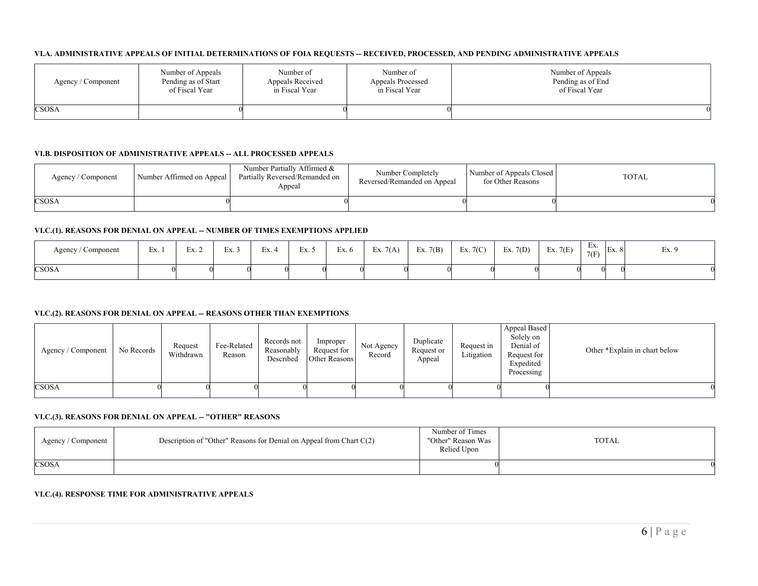# **VI.A. ADMINISTRATIVE APPEALS OF INITIAL DETERMINATIONS OF FOIA REQUESTS -- RECEIVED, PROCESSED, AND PENDING ADMINISTRATIVE APPEALS**

| Agency / Component | Number of Appeals   | Number of        | Number of         | Number of Appeals |
|--------------------|---------------------|------------------|-------------------|-------------------|
|                    | Pending as of Start | Appeals Received | Appeals Processed | Pending as of End |
|                    | of Fiscal Year      | in Fiscal Year   | in Fiscal Year    | of Fiscal Year    |
| CSOSA              |                     |                  |                   |                   |

#### **VI.B. DISPOSITION OF ADMINISTRATIVE APPEALS -- ALL PROCESSED APPEALS**

| Agency / Component | Number Affirmed on Appeal | Number Partially Affirmed &<br>Partially Reversed/Remanded on<br>Appeal | Number Completely<br>Reversed/Remanded on Appeal | Number of Appeals Closed<br>for Other Reasons | <b>TOTAL</b> |
|--------------------|---------------------------|-------------------------------------------------------------------------|--------------------------------------------------|-----------------------------------------------|--------------|
| <b>CSOSA</b>       |                           |                                                                         |                                                  |                                               |              |

#### **VI.C.(1). REASONS FOR DENIAL ON APPEAL -- NUMBER OF TIMES EXEMPTIONS APPLIED**

| $\sim$<br>Agency / Component | Ex. 1 | Ex. 2 | Ex. 3 | $\sim$<br>Ex. . | Ex. 5 | Ex. 6 | Ex. $7(A)$ | Ex. $7(B)$ | Ex. $7(C)$ | Ex. $7(D)$ | Ex.7(E) | <b>HV</b><br>LΛ.<br>7(F) | $\sqrt{2}$<br>1 EX. 8 | Ex. 9 |
|------------------------------|-------|-------|-------|-----------------|-------|-------|------------|------------|------------|------------|---------|--------------------------|-----------------------|-------|
| <b>CSOSA</b>                 |       |       |       |                 |       |       |            |            |            |            |         |                          |                       |       |

#### **VI.C.(2). REASONS FOR DENIAL ON APPEAL -- REASONS OTHER THAN EXEMPTIONS**

| Agency / Component | No Records | Request<br>Withdrawn | Fee-Related<br>Reason | Records not<br>Reasonably<br>Described | Improper<br>Request for<br>Other Reasons | Not Agency<br>Record | Duplicate<br>Request or<br>Appeal | Request in<br>Litigation | Appeal Based<br>Solely on<br>Denial of<br>Request for<br>Expedited<br>Processing | Other *Explain in chart below |
|--------------------|------------|----------------------|-----------------------|----------------------------------------|------------------------------------------|----------------------|-----------------------------------|--------------------------|----------------------------------------------------------------------------------|-------------------------------|
| <b>CSOSA</b>       |            |                      |                       |                                        |                                          |                      |                                   |                          |                                                                                  |                               |

# **VI.C.(3). REASONS FOR DENIAL ON APPEAL -- "OTHER" REASONS**

| Agency / Component | Description of "Other" Reasons for Denial on Appeal from Chart $C(2)$ | Number of Times<br>"Other" Reason Was<br>Relied Upon | <b>TOTAL</b> |
|--------------------|-----------------------------------------------------------------------|------------------------------------------------------|--------------|
| <b>CSOSA</b>       |                                                                       |                                                      |              |

# **VI.C.(4). RESPONSE TIME FOR ADMINISTRATIVE APPEALS**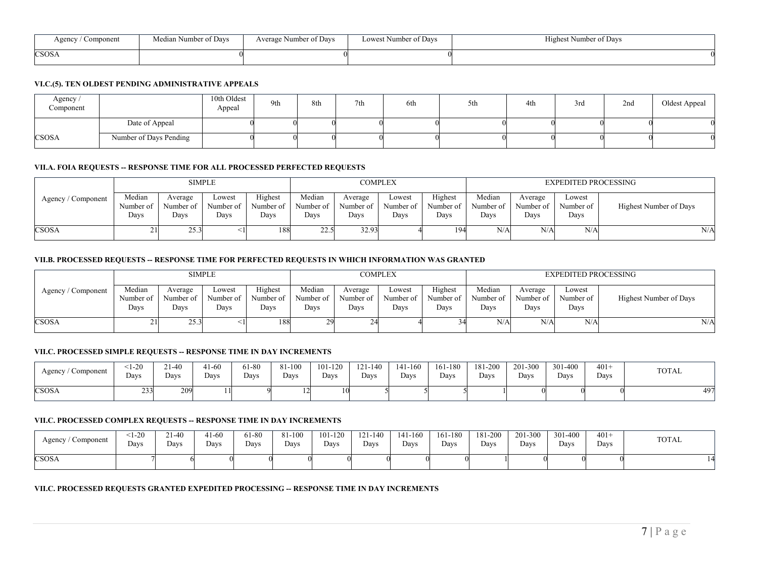| Agency / Component | Median Number of Days | Average Number of Days | Lowest Number of Days | Highest Number of Days |
|--------------------|-----------------------|------------------------|-----------------------|------------------------|
| <b>CSOSA</b>       |                       |                        |                       |                        |

## **VI.C.(5). TEN OLDEST PENDING ADMINISTRATIVE APPEALS**

| Agency /<br>Component |                        | 10th Oldest<br>Appeal | 9th | 8th | 7th | 6th | 5th | 4th | 3rd | 2nd | Oldest Appeal |
|-----------------------|------------------------|-----------------------|-----|-----|-----|-----|-----|-----|-----|-----|---------------|
|                       | Date of Appeal         |                       |     |     |     |     |     |     |     |     |               |
| CSOSA                 | Number of Days Pending |                       |     |     |     |     |     |     |     |     |               |

# **VII.A. FOIA REQUESTS -- RESPONSE TIME FOR ALL PROCESSED PERFECTED REQUESTS**

|                    |                             |                              | <b>SIMPLE</b>               |                              |                             |                              | <b>COMPLEX</b>              |                              | <b>EXPEDITED PROCESSING</b> |                              |                             |                        |  |
|--------------------|-----------------------------|------------------------------|-----------------------------|------------------------------|-----------------------------|------------------------------|-----------------------------|------------------------------|-----------------------------|------------------------------|-----------------------------|------------------------|--|
| Agency / Component | Median<br>Number of<br>Days | Average<br>Number of<br>Days | Lowest<br>Number of<br>Days | Highest<br>Number of<br>Days | Median<br>Number of<br>Days | Average<br>Number of<br>Days | Lowest<br>Number of<br>Days | Highest<br>Number of<br>Days | Median<br>Number of<br>Days | Average<br>Number of<br>Days | Lowest<br>Number of<br>Days | Highest Number of Days |  |
| <b>CSOSA</b>       |                             | 253<br>۔ دے                  |                             | 188                          | 225<br>ر . ے                | 32.93                        |                             | 194                          | N/A                         | N/A                          | N/A                         | N/A                    |  |

#### **VII.B. PROCESSED REQUESTS -- RESPONSE TIME FOR PERFECTED REQUESTS IN WHICH INFORMATION WAS GRANTED**

|                    |                             |                              | <b>SIMPLE</b>               |                              |                             |                              | <b>COMPLEX</b>              |                              | <b>EXPEDITED PROCESSING</b> |                              |                             |                        |  |
|--------------------|-----------------------------|------------------------------|-----------------------------|------------------------------|-----------------------------|------------------------------|-----------------------------|------------------------------|-----------------------------|------------------------------|-----------------------------|------------------------|--|
| Agency / Component | Median<br>Number of<br>Davs | Average<br>Number of<br>Days | Lowest<br>Number of<br>Davs | Highest<br>Number of<br>Davs | Median<br>Number of<br>Davs | Average<br>Number of<br>Davs | Lowest<br>Number of<br>Days | Highest<br>Number of<br>Davs | Median<br>Number of<br>Days | Average<br>Number of<br>Davs | Lowest<br>Number of<br>Days | Highest Number of Days |  |
| <b>CSOSA</b>       |                             | 25.3                         |                             | 188                          |                             |                              |                             |                              | N/A                         | N/A                          | N/A                         | N/A                    |  |

## **VII.C. PROCESSED SIMPLE REQUESTS -- RESPONSE TIME IN DAY INCREMENTS**

| Component    | $\leq1-20$    | $21-40$ | 41-60 | 61-80 | 81-100 | $101 - 120$ | 121-140 | 141-160 | 161-180 | 181-200 | 201-300 | 301-400 | $401 -$ | TOTAL |
|--------------|---------------|---------|-------|-------|--------|-------------|---------|---------|---------|---------|---------|---------|---------|-------|
| Agency '     | Davs          | Davs    | Davs  | Davs  | Davs   | Davs        | Davs    | Davs    | Davs    | Davs    | Davs    | Davs    | Davs    |       |
| <b>CSOSA</b> | $\sim$<br>233 | 209     |       |       |        | 10          |         |         |         |         |         |         |         | 497   |

#### **VII.C. PROCESSED COMPLEX REQUESTS -- RESPONSE TIME IN DAY INCREMENTS**

| Component    | $\stackrel{<}{\scriptstyle -1}$ -20 | $\sqrt{4}$ | $41-60$ | 61-80 | 81-100 | 101-120 | 121-140 | 141-160 | 161-180 | 181-200 | 201-300 | 301-400 | $401 -$ | <b>TOTAL</b> |
|--------------|-------------------------------------|------------|---------|-------|--------|---------|---------|---------|---------|---------|---------|---------|---------|--------------|
| Agency       | Days                                | Davs       | Days    | Days  | Days   | Days    | Davs    | Davs    | Days    | Davs    | Davs    | Days    | Days    |              |
| <b>CSOSA</b> |                                     |            |         |       |        |         |         |         |         |         |         |         |         |              |

# **VII.C. PROCESSED REQUESTS GRANTED EXPEDITED PROCESSING -- RESPONSE TIME IN DAY INCREMENTS**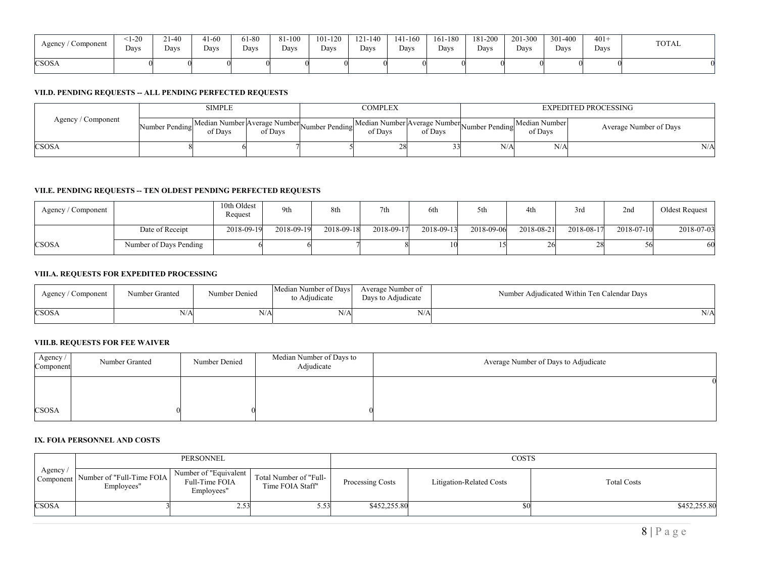| Agency / 0   | $\leq1-20$ | 21-40 | 41-60 | 61-80 | 81-100 | 101-120 | $121 - 140$ | 141-160 | 161-180 | 181-200 | 201-300 | 301-400 | $401 -$ | <b>TOTAL</b> |
|--------------|------------|-------|-------|-------|--------|---------|-------------|---------|---------|---------|---------|---------|---------|--------------|
| Component    | Davs       | Davs  | Davs  | Davs  | Davs   | Days    | Davs        | Davs    | Davs    | Davs    | Davs    | Davs    | Days    |              |
| <b>CSOSA</b> |            |       |       |       |        |         |             |         |         |         |         |         |         |              |

# **VII.D. PENDING REQUESTS -- ALL PENDING PERFECTED REQUESTS**

|                    | <b>SIMPLE</b>  |         |         |                                                           | <b>COMPLEX</b> |                                                                       | <b>EXPEDITED PROCESSING</b> |                          |                        |     |  |  |
|--------------------|----------------|---------|---------|-----------------------------------------------------------|----------------|-----------------------------------------------------------------------|-----------------------------|--------------------------|------------------------|-----|--|--|
| Agency / Component | Number Pending | of Days | of Days | Median Number Average Number Number Pending   VICUIGIL 1. | of Days        | - Median Number Average Number Number Pending   Witchinson<br>of Davs |                             | Median Number<br>of Days | Average Number of Days |     |  |  |
| <b>CSOSA</b>       |                |         |         |                                                           |                |                                                                       | N/A                         | N/A                      |                        | N/A |  |  |

# **VII.E. PENDING REQUESTS -- TEN OLDEST PENDING PERFECTED REQUESTS**

| Agency / Component |                        | 10th Oldest<br>Request | 9th        | 8th        | 7th        | 6th        | 5th        | 4th        | 3rd        | 2nd        | Oldest Request |
|--------------------|------------------------|------------------------|------------|------------|------------|------------|------------|------------|------------|------------|----------------|
|                    | Date of Receipt        | 2018-09-19             | 2018-09-19 | 2018-09-18 | 2018-09-17 | 2018-09-13 | 2018-09-06 | 2018-08-21 | 2018-08-17 | 2018-07-10 | 2018-07-03     |
| <b>CSOSA</b>       | Number of Days Pending |                        |            |            |            |            |            |            | 28         |            |                |

# **VIII.A. REQUESTS FOR EXPEDITED PROCESSING**

| Agency / Component | Number Granted          | Number Denied | Median Number of Days<br>to Adjudicate | Average Number of<br>Days to Adjudicate | Number Adjudicated Within Ten Calendar Days |
|--------------------|-------------------------|---------------|----------------------------------------|-----------------------------------------|---------------------------------------------|
| <b>CSOSA</b>       | $\mathbf{v}/\mathbf{r}$ | N/A           | N/A                                    | N/A                                     | N/A                                         |

# **VIII.B. REQUESTS FOR FEE WAIVER**

| Agency /<br>Component | Number Granted | Number Denied | Median Number of Days to<br>Adjudicate | Average Number of Days to Adjudicate |
|-----------------------|----------------|---------------|----------------------------------------|--------------------------------------|
|                       |                |               |                                        |                                      |
| <b>CSOSA</b>          |                |               |                                        |                                      |

#### **IX. FOIA PERSONNEL AND COSTS**

|                      |                                         | PERSONNEL                    |                                                                                   |                  | COSTS                    |                    |
|----------------------|-----------------------------------------|------------------------------|-----------------------------------------------------------------------------------|------------------|--------------------------|--------------------|
| Agency/<br>Component | Number of "Full-Time FOIA<br>Employees" | Full-Time FOIA<br>Employees" | $\frac{1}{11}$ Number of "Equivalent   Total Number of "Full-<br>Time FOIA Staff" | Processing Costs | Litigation-Related Costs | <b>Total Costs</b> |
| <b>CSOSA</b>         |                                         | 2.5?                         | 5.53                                                                              | \$452,255.80     | 50                       | \$452,255.80       |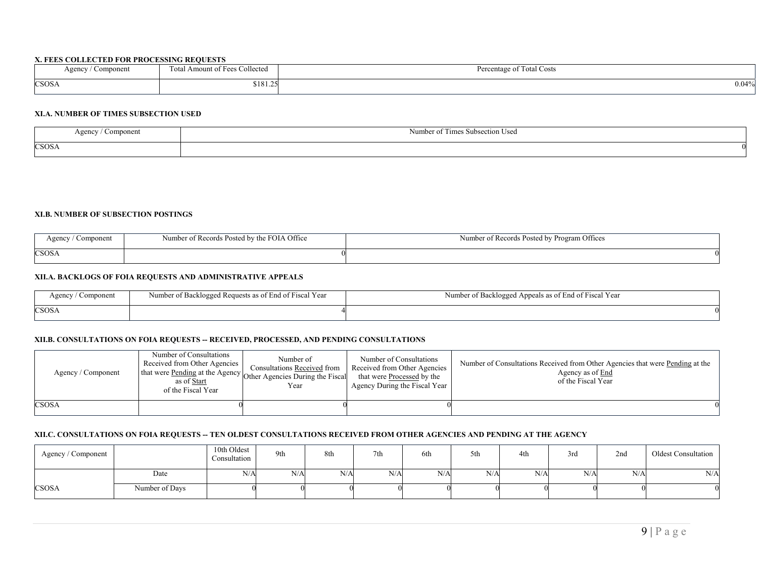## **X. FEES COLLECTED FOR PROCESSING REQUESTS**

| Component<br>Agency | Total Amount of Fees Collected | c <del>m</del><br>Percentage of Total 0<br>L Costs |
|---------------------|--------------------------------|----------------------------------------------------|
| CSOSA               | \$181.25<br>$\sim$             | $0.04\%$                                           |

#### **XI.A. NUMBER OF TIMES SUBSECTION USED**

| $\Delta$ genev $\ell$<br>$\Delta$ gun $\vee$ | Component | $\sim$ $ +$<br>r of Times Subsection Used<br>Number |
|----------------------------------------------|-----------|-----------------------------------------------------|
| CSOSA                                        |           |                                                     |

#### **XI.B. NUMBER OF SUBSECTION POSTINGS**

| Agency<br>Component | Number of Records Posted by the FOIA Office | ber of Records Posted by Program Offices<br>Jumb |
|---------------------|---------------------------------------------|--------------------------------------------------|
| <b>CSOSA</b>        |                                             |                                                  |

## **XII.A. BACKLOGS OF FOIA REQUESTS AND ADMINISTRATIVE APPEALS**

| Component<br>Agency | Number of Backlogged Requests as of End of Fiscal Year | Number of Backlogged Appeals as of End of Fiscal Year |
|---------------------|--------------------------------------------------------|-------------------------------------------------------|
| <b>CSOSA</b>        |                                                        |                                                       |

# **XII.B. CONSULTATIONS ON FOIA REQUESTS -- RECEIVED, PROCESSED, AND PENDING CONSULTATIONS**

| Agency / Component | Number of Consultations<br>Received from Other Agencies<br>as of Start<br>of the Fiscal Year | Number of<br>Consultations Received from<br>[that were <u>Pending</u> at the Agency $\boxed{\overbrace{\text{Other} \text{ Agencies} \text{ During the Fiscal}}}$ .<br>Year | Number of Consultations<br>Received from Other Agencies<br>that were Processed by the<br>Agency During the Fiscal Year | Number of Consultations Received from Other Agencies that were Pending at the<br>Agency as of End<br>of the Fiscal Year |
|--------------------|----------------------------------------------------------------------------------------------|-----------------------------------------------------------------------------------------------------------------------------------------------------------------------------|------------------------------------------------------------------------------------------------------------------------|-------------------------------------------------------------------------------------------------------------------------|
| <b>CSOSA</b>       |                                                                                              |                                                                                                                                                                             |                                                                                                                        |                                                                                                                         |

# **XII.C. CONSULTATIONS ON FOIA REQUESTS -- TEN OLDEST CONSULTATIONS RECEIVED FROM OTHER AGENCIES AND PENDING AT THE AGENCY**

| Agency / Component |                | 10th Oldest<br>Consultation | 9th | 8th | 7th | 6th | 5th | 4th | $\sim$<br>3rd | 2nd | Oldest Consultation |
|--------------------|----------------|-----------------------------|-----|-----|-----|-----|-----|-----|---------------|-----|---------------------|
|                    | Date           | N/A                         | N/A | N/A | N/A | N/A | N/A | N/A | N/A           | N/A | N/A                 |
| <b>CSOSA</b>       | Number of Days |                             |     |     |     |     |     |     |               |     |                     |